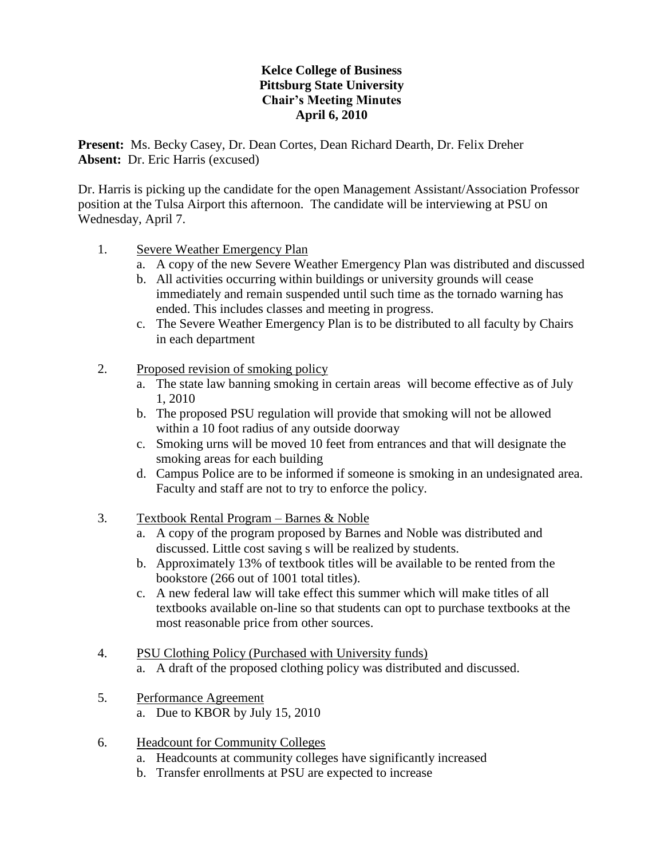## **Kelce College of Business Pittsburg State University Chair's Meeting Minutes April 6, 2010**

**Present:** Ms. Becky Casey, Dr. Dean Cortes, Dean Richard Dearth, Dr. Felix Dreher **Absent:** Dr. Eric Harris (excused)

Dr. Harris is picking up the candidate for the open Management Assistant/Association Professor position at the Tulsa Airport this afternoon. The candidate will be interviewing at PSU on Wednesday, April 7.

- 1. Severe Weather Emergency Plan
	- a. A copy of the new Severe Weather Emergency Plan was distributed and discussed
	- b. All activities occurring within buildings or university grounds will cease immediately and remain suspended until such time as the tornado warning has ended. This includes classes and meeting in progress.
	- c. The Severe Weather Emergency Plan is to be distributed to all faculty by Chairs in each department
- 2. Proposed revision of smoking policy
	- a. The state law banning smoking in certain areas will become effective as of July 1, 2010
	- b. The proposed PSU regulation will provide that smoking will not be allowed within a 10 foot radius of any outside doorway
	- c. Smoking urns will be moved 10 feet from entrances and that will designate the smoking areas for each building
	- d. Campus Police are to be informed if someone is smoking in an undesignated area. Faculty and staff are not to try to enforce the policy.
- 3. Textbook Rental Program Barnes & Noble
	- a. A copy of the program proposed by Barnes and Noble was distributed and discussed. Little cost saving s will be realized by students.
	- b. Approximately 13% of textbook titles will be available to be rented from the bookstore (266 out of 1001 total titles).
	- c. A new federal law will take effect this summer which will make titles of all textbooks available on-line so that students can opt to purchase textbooks at the most reasonable price from other sources.
- 4. PSU Clothing Policy (Purchased with University funds)
	- a. A draft of the proposed clothing policy was distributed and discussed.
- 5. Performance Agreement a. Due to KBOR by July 15, 2010
- 6. Headcount for Community Colleges
	- a. Headcounts at community colleges have significantly increased
	- b. Transfer enrollments at PSU are expected to increase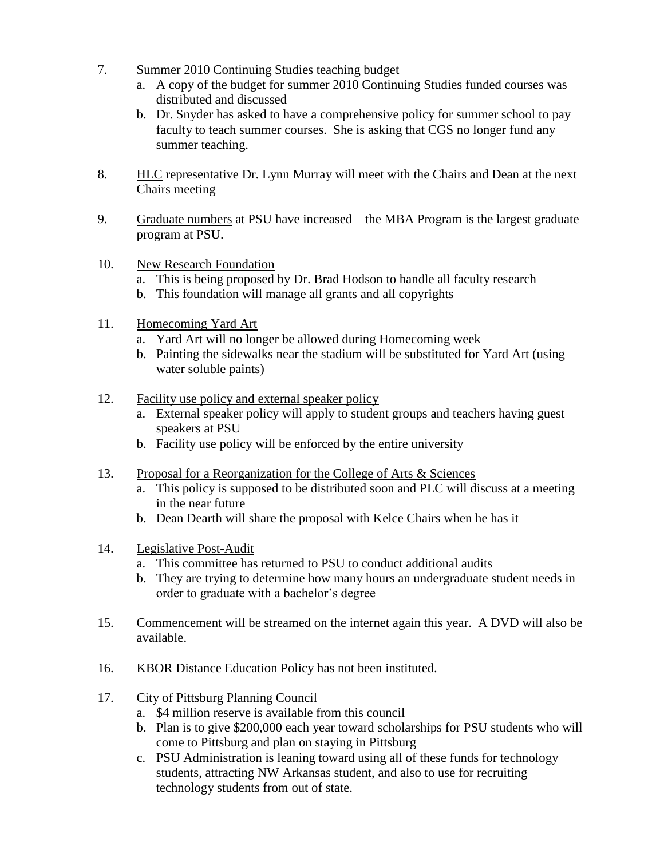- 7. Summer 2010 Continuing Studies teaching budget
	- a. A copy of the budget for summer 2010 Continuing Studies funded courses was distributed and discussed
	- b. Dr. Snyder has asked to have a comprehensive policy for summer school to pay faculty to teach summer courses. She is asking that CGS no longer fund any summer teaching.
- 8. HLC representative Dr. Lynn Murray will meet with the Chairs and Dean at the next Chairs meeting
- 9. Graduate numbers at PSU have increased the MBA Program is the largest graduate program at PSU.
- 10. New Research Foundation
	- a. This is being proposed by Dr. Brad Hodson to handle all faculty research
	- b. This foundation will manage all grants and all copyrights
- 11. Homecoming Yard Art
	- a. Yard Art will no longer be allowed during Homecoming week
	- b. Painting the sidewalks near the stadium will be substituted for Yard Art (using water soluble paints)
- 12. Facility use policy and external speaker policy
	- a. External speaker policy will apply to student groups and teachers having guest speakers at PSU
	- b. Facility use policy will be enforced by the entire university
- 13. Proposal for a Reorganization for the College of Arts & Sciences
	- a. This policy is supposed to be distributed soon and PLC will discuss at a meeting in the near future
	- b. Dean Dearth will share the proposal with Kelce Chairs when he has it
- 14. Legislative Post-Audit
	- a. This committee has returned to PSU to conduct additional audits
	- b. They are trying to determine how many hours an undergraduate student needs in order to graduate with a bachelor's degree
- 15. Commencement will be streamed on the internet again this year. A DVD will also be available.
- 16. KBOR Distance Education Policy has not been instituted.
- 17. City of Pittsburg Planning Council
	- a. \$4 million reserve is available from this council
	- b. Plan is to give \$200,000 each year toward scholarships for PSU students who will come to Pittsburg and plan on staying in Pittsburg
	- c. PSU Administration is leaning toward using all of these funds for technology students, attracting NW Arkansas student, and also to use for recruiting technology students from out of state.